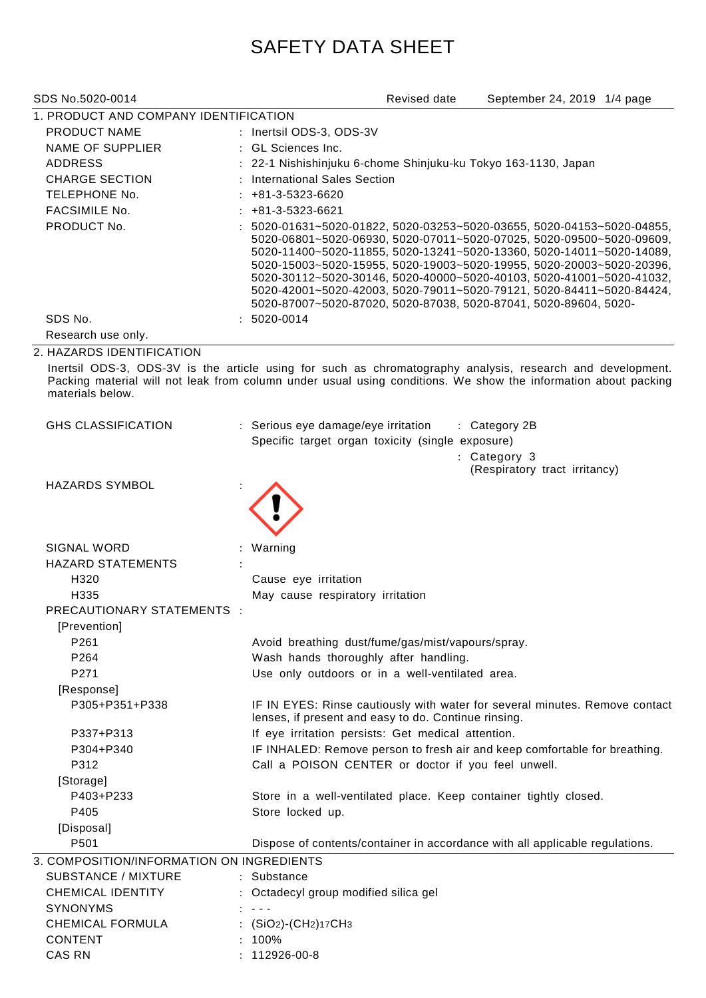## SAFETY DATA SHEET

| SDS No.5020-0014                                  | Revised date<br>September 24, 2019 1/4 page                                                                                                                                                                                                                                                                                                                          |  |  |  |  |
|---------------------------------------------------|----------------------------------------------------------------------------------------------------------------------------------------------------------------------------------------------------------------------------------------------------------------------------------------------------------------------------------------------------------------------|--|--|--|--|
| 1. PRODUCT AND COMPANY IDENTIFICATION             |                                                                                                                                                                                                                                                                                                                                                                      |  |  |  |  |
| <b>PRODUCT NAME</b>                               | : Inertsil ODS-3, ODS-3V                                                                                                                                                                                                                                                                                                                                             |  |  |  |  |
| <b>NAME OF SUPPLIER</b>                           | : GL Sciences Inc.                                                                                                                                                                                                                                                                                                                                                   |  |  |  |  |
| <b>ADDRESS</b>                                    | : 22-1 Nishishinjuku 6-chome Shinjuku-ku Tokyo 163-1130, Japan                                                                                                                                                                                                                                                                                                       |  |  |  |  |
| <b>CHARGE SECTION</b>                             | International Sales Section                                                                                                                                                                                                                                                                                                                                          |  |  |  |  |
| TELEPHONE No.                                     | +81-3-5323-6620                                                                                                                                                                                                                                                                                                                                                      |  |  |  |  |
| <b>FACSIMILE No.</b>                              | +81-3-5323-6621                                                                                                                                                                                                                                                                                                                                                      |  |  |  |  |
| PRODUCT No.                                       | 5020-01631~5020-01822, 5020-03253~5020-03655, 5020-04153~5020-04855,<br>5020-06801~5020-06930, 5020-07011~5020-07025, 5020-09500~5020-09609,<br>5020-11400~5020-11855, 5020-13241~5020-13360, 5020-14011~5020-14089,<br>5020-15003~5020-15955, 5020-19003~5020-19955, 5020-20003~5020-20396,<br>5020-30112~5020-30146, 5020-40000~5020-40103, 5020-41001~5020-41032, |  |  |  |  |
|                                                   | 5020-42001~5020-42003, 5020-79011~5020-79121, 5020-84411~5020-84424,<br>5020-87007~5020-87020, 5020-87038, 5020-87041, 5020-89604, 5020-                                                                                                                                                                                                                             |  |  |  |  |
| SDS No.                                           | 5020-0014                                                                                                                                                                                                                                                                                                                                                            |  |  |  |  |
| Research use only.                                |                                                                                                                                                                                                                                                                                                                                                                      |  |  |  |  |
| 2. HAZARDS IDENTIFICATION                         |                                                                                                                                                                                                                                                                                                                                                                      |  |  |  |  |
| materials below.                                  | Inertsil ODS-3, ODS-3V is the article using for such as chromatography analysis, research and development.<br>Packing material will not leak from column under usual using conditions. We show the information about packing                                                                                                                                         |  |  |  |  |
| <b>GHS CLASSIFICATION</b>                         | : Serious eye damage/eye irritation<br>: Category 2B                                                                                                                                                                                                                                                                                                                 |  |  |  |  |
|                                                   | Specific target organ toxicity (single exposure)                                                                                                                                                                                                                                                                                                                     |  |  |  |  |
|                                                   | : Category 3                                                                                                                                                                                                                                                                                                                                                         |  |  |  |  |
|                                                   | (Respiratory tract irritancy)                                                                                                                                                                                                                                                                                                                                        |  |  |  |  |
| <b>HAZARDS SYMBOL</b>                             |                                                                                                                                                                                                                                                                                                                                                                      |  |  |  |  |
| <b>SIGNAL WORD</b>                                | Warning                                                                                                                                                                                                                                                                                                                                                              |  |  |  |  |
| <b>HAZARD STATEMENTS</b>                          |                                                                                                                                                                                                                                                                                                                                                                      |  |  |  |  |
| H320                                              | Cause eye irritation                                                                                                                                                                                                                                                                                                                                                 |  |  |  |  |
| H <sub>335</sub>                                  | May cause respiratory irritation                                                                                                                                                                                                                                                                                                                                     |  |  |  |  |
| <b>PRECAUTIONARY STATEMENTS :</b><br>[Prevention] |                                                                                                                                                                                                                                                                                                                                                                      |  |  |  |  |
| P261                                              | Avoid breathing dust/fume/gas/mist/vapours/spray.                                                                                                                                                                                                                                                                                                                    |  |  |  |  |
| P264                                              | Wash hands thoroughly after handling.                                                                                                                                                                                                                                                                                                                                |  |  |  |  |
| P271                                              | Use only outdoors or in a well-ventilated area.                                                                                                                                                                                                                                                                                                                      |  |  |  |  |
| [Response]                                        |                                                                                                                                                                                                                                                                                                                                                                      |  |  |  |  |
| P305+P351+P338                                    | IF IN EYES: Rinse cautiously with water for several minutes. Remove contact<br>lenses, if present and easy to do. Continue rinsing.                                                                                                                                                                                                                                  |  |  |  |  |
| P337+P313                                         | If eye irritation persists: Get medical attention.                                                                                                                                                                                                                                                                                                                   |  |  |  |  |
| P304+P340                                         | IF INHALED: Remove person to fresh air and keep comfortable for breathing.                                                                                                                                                                                                                                                                                           |  |  |  |  |
| P312                                              | Call a POISON CENTER or doctor if you feel unwell.                                                                                                                                                                                                                                                                                                                   |  |  |  |  |
| [Storage]                                         |                                                                                                                                                                                                                                                                                                                                                                      |  |  |  |  |
| P403+P233                                         | Store in a well-ventilated place. Keep container tightly closed.                                                                                                                                                                                                                                                                                                     |  |  |  |  |
| P405                                              | Store locked up.                                                                                                                                                                                                                                                                                                                                                     |  |  |  |  |
| [Disposal]                                        |                                                                                                                                                                                                                                                                                                                                                                      |  |  |  |  |
| P501                                              | Dispose of contents/container in accordance with all applicable regulations.                                                                                                                                                                                                                                                                                         |  |  |  |  |
| 3. COMPOSITION/INFORMATION ON INGREDIENTS         |                                                                                                                                                                                                                                                                                                                                                                      |  |  |  |  |
| <b>SUBSTANCE / MIXTURE</b>                        | : Substance                                                                                                                                                                                                                                                                                                                                                          |  |  |  |  |
| <b>CHEMICAL IDENTITY</b>                          | : Octadecyl group modified silica gel                                                                                                                                                                                                                                                                                                                                |  |  |  |  |
| <b>SYNONYMS</b>                                   | $\mathbf{r} = \mathbf{r}$                                                                                                                                                                                                                                                                                                                                            |  |  |  |  |
| <b>CHEMICAL FORMULA</b>                           | : $(SiO2)$ - $(CH2)17CH3$                                                                                                                                                                                                                                                                                                                                            |  |  |  |  |
| <b>CONTENT</b>                                    | 100%                                                                                                                                                                                                                                                                                                                                                                 |  |  |  |  |
| <b>CAS RN</b>                                     | 112926-00-8                                                                                                                                                                                                                                                                                                                                                          |  |  |  |  |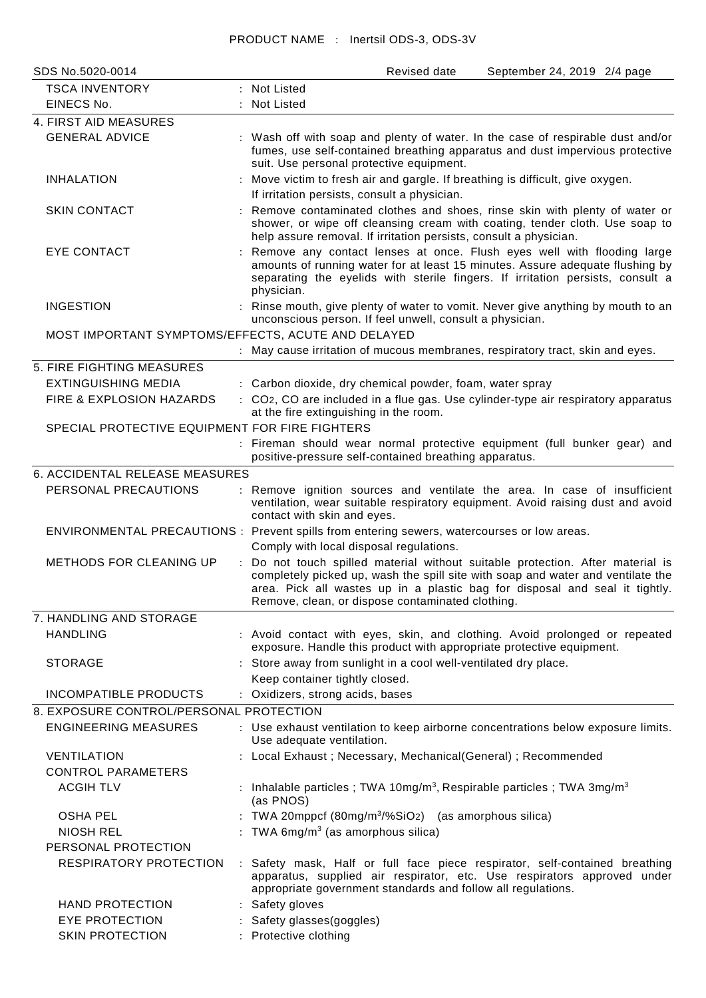## PRODUCT NAME : Inertsil ODS-3, ODS-3V

| SDS No.5020-0014                                                           | September 24, 2019 2/4 page<br>Revised date                                                                                                                                                                                                                                                        |  |  |  |  |
|----------------------------------------------------------------------------|----------------------------------------------------------------------------------------------------------------------------------------------------------------------------------------------------------------------------------------------------------------------------------------------------|--|--|--|--|
| <b>TSCA INVENTORY</b>                                                      | : Not Listed                                                                                                                                                                                                                                                                                       |  |  |  |  |
| EINECS No.                                                                 | <b>Not Listed</b>                                                                                                                                                                                                                                                                                  |  |  |  |  |
| 4. FIRST AID MEASURES                                                      |                                                                                                                                                                                                                                                                                                    |  |  |  |  |
| <b>GENERAL ADVICE</b>                                                      | : Wash off with soap and plenty of water. In the case of respirable dust and/or<br>fumes, use self-contained breathing apparatus and dust impervious protective<br>suit. Use personal protective equipment.                                                                                        |  |  |  |  |
| <b>INHALATION</b><br>$\ddot{\cdot}$                                        | Move victim to fresh air and gargle. If breathing is difficult, give oxygen.<br>If irritation persists, consult a physician.                                                                                                                                                                       |  |  |  |  |
| <b>SKIN CONTACT</b>                                                        | Remove contaminated clothes and shoes, rinse skin with plenty of water or<br>shower, or wipe off cleansing cream with coating, tender cloth. Use soap to<br>help assure removal. If irritation persists, consult a physician.                                                                      |  |  |  |  |
| <b>EYE CONTACT</b>                                                         | Remove any contact lenses at once. Flush eyes well with flooding large<br>amounts of running water for at least 15 minutes. Assure adequate flushing by<br>separating the eyelids with sterile fingers. If irritation persists, consult a<br>physician.                                            |  |  |  |  |
| <b>INGESTION</b>                                                           | : Rinse mouth, give plenty of water to vomit. Never give anything by mouth to an<br>unconscious person. If feel unwell, consult a physician.                                                                                                                                                       |  |  |  |  |
| MOST IMPORTANT SYMPTOMS/EFFECTS, ACUTE AND DELAYED                         |                                                                                                                                                                                                                                                                                                    |  |  |  |  |
|                                                                            | : May cause irritation of mucous membranes, respiratory tract, skin and eyes.                                                                                                                                                                                                                      |  |  |  |  |
| 5. FIRE FIGHTING MEASURES                                                  |                                                                                                                                                                                                                                                                                                    |  |  |  |  |
| <b>EXTINGUISHING MEDIA</b>                                                 | : Carbon dioxide, dry chemical powder, foam, water spray                                                                                                                                                                                                                                           |  |  |  |  |
| FIRE & EXPLOSION HAZARDS<br>SPECIAL PROTECTIVE EQUIPMENT FOR FIRE FIGHTERS | : CO <sub>2</sub> , CO are included in a flue gas. Use cylinder-type air respiratory apparatus<br>at the fire extinguishing in the room.                                                                                                                                                           |  |  |  |  |
|                                                                            | : Fireman should wear normal protective equipment (full bunker gear) and                                                                                                                                                                                                                           |  |  |  |  |
|                                                                            | positive-pressure self-contained breathing apparatus.                                                                                                                                                                                                                                              |  |  |  |  |
| 6. ACCIDENTAL RELEASE MEASURES                                             |                                                                                                                                                                                                                                                                                                    |  |  |  |  |
| PERSONAL PRECAUTIONS                                                       | : Remove ignition sources and ventilate the area. In case of insufficient<br>ventilation, wear suitable respiratory equipment. Avoid raising dust and avoid<br>contact with skin and eyes.                                                                                                         |  |  |  |  |
|                                                                            | ENVIRONMENTAL PRECAUTIONS : Prevent spills from entering sewers, watercourses or low areas.                                                                                                                                                                                                        |  |  |  |  |
|                                                                            | Comply with local disposal regulations.                                                                                                                                                                                                                                                            |  |  |  |  |
| <b>METHODS FOR CLEANING UP</b>                                             | Do not touch spilled material without suitable protection. After material is<br>completely picked up, wash the spill site with soap and water and ventilate the<br>area. Pick all wastes up in a plastic bag for disposal and seal it tightly.<br>Remove, clean, or dispose contaminated clothing. |  |  |  |  |
| 7. HANDLING AND STORAGE                                                    |                                                                                                                                                                                                                                                                                                    |  |  |  |  |
| <b>HANDLING</b>                                                            | : Avoid contact with eyes, skin, and clothing. Avoid prolonged or repeated<br>exposure. Handle this product with appropriate protective equipment.                                                                                                                                                 |  |  |  |  |
| <b>STORAGE</b>                                                             | : Store away from sunlight in a cool well-ventilated dry place.                                                                                                                                                                                                                                    |  |  |  |  |
|                                                                            | Keep container tightly closed.                                                                                                                                                                                                                                                                     |  |  |  |  |
| <b>INCOMPATIBLE PRODUCTS</b>                                               | : Oxidizers, strong acids, bases                                                                                                                                                                                                                                                                   |  |  |  |  |
| 8. EXPOSURE CONTROL/PERSONAL PROTECTION                                    |                                                                                                                                                                                                                                                                                                    |  |  |  |  |
| <b>ENGINEERING MEASURES</b>                                                | : Use exhaust ventilation to keep airborne concentrations below exposure limits.<br>Use adequate ventilation.                                                                                                                                                                                      |  |  |  |  |
| <b>VENTILATION</b>                                                         | : Local Exhaust; Necessary, Mechanical(General); Recommended                                                                                                                                                                                                                                       |  |  |  |  |
| <b>CONTROL PARAMETERS</b>                                                  |                                                                                                                                                                                                                                                                                                    |  |  |  |  |
| <b>ACGIH TLV</b>                                                           | Inhalable particles; TWA 10mg/m <sup>3</sup> , Respirable particles; TWA 3mg/m <sup>3</sup><br>(as PNOS)                                                                                                                                                                                           |  |  |  |  |
| <b>OSHA PEL</b>                                                            | TWA 20mppcf $(80mg/m3/%SiO2)$ (as amorphous silica)                                                                                                                                                                                                                                                |  |  |  |  |
| <b>NIOSH REL</b>                                                           | TWA $6mg/m3$ (as amorphous silica)                                                                                                                                                                                                                                                                 |  |  |  |  |
| PERSONAL PROTECTION                                                        |                                                                                                                                                                                                                                                                                                    |  |  |  |  |
| RESPIRATORY PROTECTION                                                     | : Safety mask, Half or full face piece respirator, self-contained breathing<br>apparatus, supplied air respirator, etc. Use respirators approved under<br>appropriate government standards and follow all regulations.                                                                             |  |  |  |  |
| <b>HAND PROTECTION</b>                                                     | : Safety gloves                                                                                                                                                                                                                                                                                    |  |  |  |  |
| <b>EYE PROTECTION</b>                                                      | Safety glasses(goggles)                                                                                                                                                                                                                                                                            |  |  |  |  |
| <b>SKIN PROTECTION</b>                                                     | Protective clothing                                                                                                                                                                                                                                                                                |  |  |  |  |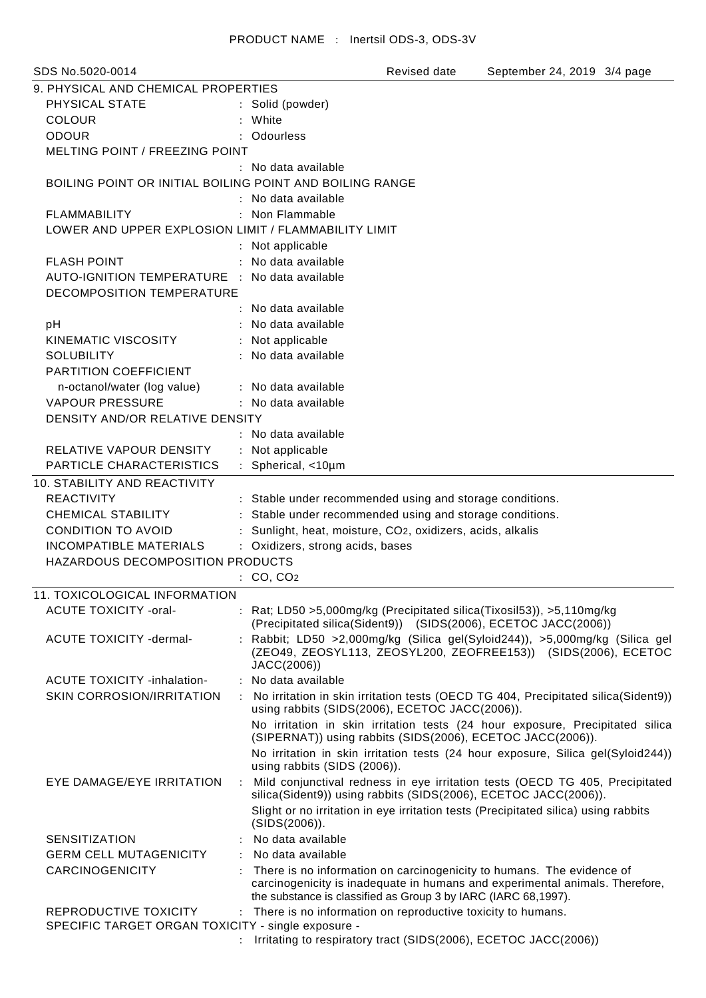| SDS No.5020-0014                                         | Revised date<br>September 24, 2019 3/4 page                                                                                                                  |
|----------------------------------------------------------|--------------------------------------------------------------------------------------------------------------------------------------------------------------|
| 9. PHYSICAL AND CHEMICAL PROPERTIES                      |                                                                                                                                                              |
| PHYSICAL STATE                                           | : Solid (powder)                                                                                                                                             |
| <b>COLOUR</b>                                            | White                                                                                                                                                        |
| <b>ODOUR</b>                                             | Odourless                                                                                                                                                    |
| MELTING POINT / FREEZING POINT                           |                                                                                                                                                              |
|                                                          | : No data available                                                                                                                                          |
| BOILING POINT OR INITIAL BOILING POINT AND BOILING RANGE |                                                                                                                                                              |
|                                                          | : No data available                                                                                                                                          |
| <b>FLAMMABILITY</b>                                      | Non Flammable                                                                                                                                                |
| LOWER AND UPPER EXPLOSION LIMIT / FLAMMABILITY LIMIT     |                                                                                                                                                              |
|                                                          |                                                                                                                                                              |
|                                                          | : Not applicable                                                                                                                                             |
| <b>FLASH POINT</b>                                       | : No data available                                                                                                                                          |
| AUTO-IGNITION TEMPERATURE : No data available            |                                                                                                                                                              |
| DECOMPOSITION TEMPERATURE                                |                                                                                                                                                              |
|                                                          | : No data available                                                                                                                                          |
| pH                                                       | No data available                                                                                                                                            |
| KINEMATIC VISCOSITY                                      | : Not applicable                                                                                                                                             |
| <b>SOLUBILITY</b>                                        | No data available                                                                                                                                            |
| PARTITION COEFFICIENT                                    |                                                                                                                                                              |
| n-octanol/water (log value)                              | : No data available                                                                                                                                          |
| <b>VAPOUR PRESSURE</b>                                   | : No data available                                                                                                                                          |
| DENSITY AND/OR RELATIVE DENSITY                          |                                                                                                                                                              |
|                                                          | : No data available                                                                                                                                          |
| RELATIVE VAPOUR DENSITY                                  | Not applicable                                                                                                                                               |
| PARTICLE CHARACTERISTICS                                 | Spherical, <10um                                                                                                                                             |
| <b>10. STABILITY AND REACTIVITY</b>                      |                                                                                                                                                              |
|                                                          |                                                                                                                                                              |
| <b>REACTIVITY</b>                                        | : Stable under recommended using and storage conditions.                                                                                                     |
| <b>CHEMICAL STABILITY</b>                                | Stable under recommended using and storage conditions.                                                                                                       |
| <b>CONDITION TO AVOID</b>                                | Sunlight, heat, moisture, CO2, oxidizers, acids, alkalis                                                                                                     |
| <b>INCOMPATIBLE MATERIALS</b>                            | : Oxidizers, strong acids, bases                                                                                                                             |
| HAZARDOUS DECOMPOSITION PRODUCTS                         |                                                                                                                                                              |
|                                                          | CO, CO <sub>2</sub>                                                                                                                                          |
| <b>11. TOXICOLOGICAL INFORMATION</b>                     |                                                                                                                                                              |
| <b>ACUTE TOXICITY -oral-</b>                             | : Rat; LD50 > 5,000 mg/kg (Precipitated silica (Tixosil 53)), > 5,110 mg/kg<br>(Precipitated silica(Sident9)) (SIDS(2006), ECETOC JACC(2006))                |
| ACUTE TOXICITY -dermal-                                  | : Rabbit; LD50 >2,000mg/kg (Silica gel(Syloid244)), >5,000mg/kg (Silica gel<br>(ZEO49, ZEOSYL113, ZEOSYL200, ZEOFREE153)) (SIDS(2006), ECETOC<br>JACC(2006)) |
| <b>ACUTE TOXICITY -inhalation-</b>                       | : No data available                                                                                                                                          |
| SKIN CORROSION/IRRITATION                                | No irritation in skin irritation tests (OECD TG 404, Precipitated silica(Sident9))<br>using rabbits (SIDS(2006), ECETOC JACC(2006)).                         |
|                                                          | No irritation in skin irritation tests (24 hour exposure, Precipitated silica<br>(SIPERNAT)) using rabbits (SIDS(2006), ECETOC JACC(2006)).                  |
|                                                          | No irritation in skin irritation tests (24 hour exposure, Silica gel(Syloid244))<br>using rabbits (SIDS (2006)).                                             |
| EYE DAMAGE/EYE IRRITATION<br>$\ddot{\cdot}$              | Mild conjunctival redness in eye irritation tests (OECD TG 405, Precipitated<br>silica(Sident9)) using rabbits (SIDS(2006), ECETOC JACC(2006)).              |
|                                                          | Slight or no irritation in eye irritation tests (Precipitated silica) using rabbits<br>(SIDS(2006)).                                                         |
| <b>SENSITIZATION</b>                                     | No data available                                                                                                                                            |
| <b>GERM CELL MUTAGENICITY</b>                            | No data available                                                                                                                                            |
| <b>CARCINOGENICITY</b>                                   | There is no information on carcinogenicity to humans. The evidence of                                                                                        |
|                                                          | carcinogenicity is inadequate in humans and experimental animals. Therefore,<br>the substance is classified as Group 3 by IARC (IARC 68,1997).               |
| REPRODUCTIVE TOXICITY                                    | There is no information on reproductive toxicity to humans.                                                                                                  |
| SPECIFIC TARGET ORGAN TOXICITY - single exposure -       |                                                                                                                                                              |
|                                                          | Irritating to respiratory tract (SIDS(2006), ECETOC JACC(2006))                                                                                              |